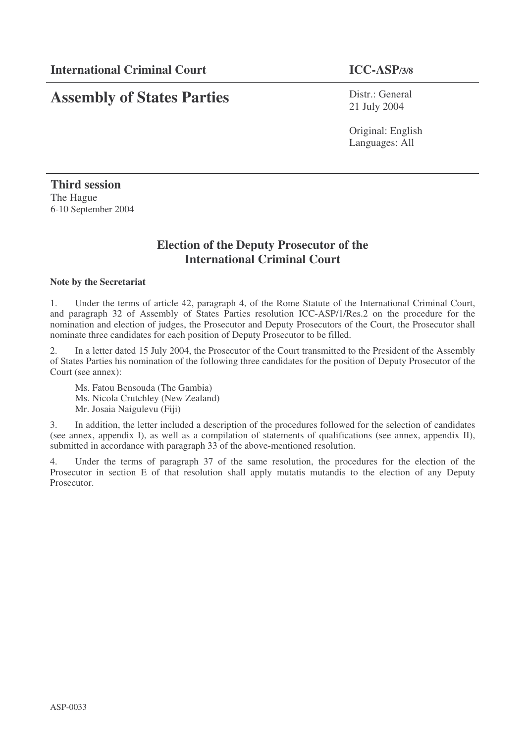# **Assembly of States Parties**

Distr.: General 21 July 2004

Original: English Languages: All

## **Third session** The Hague 6-10 September 2004

## **Election of the Deputy Prosecutor of the International Criminal Court**

## **Note by the Secretariat**

1. Under the terms of article 42, paragraph 4, of the Rome Statute of the International Criminal Court, and paragraph 32 of Assembly of States Parties resolution ICC-ASP/1/Res.2 on the procedure for the nomination and election of judges, the Prosecutor and Deputy Prosecutors of the Court, the Prosecutor shall nominate three candidates for each position of Deputy Prosecutor to be filled.

2. In a letter dated 15 July 2004, the Prosecutor of the Court transmitted to the President of the Assembly of States Parties his nomination of the following three candidates for the position of Deputy Prosecutor of the Court (see annex):

Ms. Fatou Bensouda (The Gambia) Ms. Nicola Crutchley (New Zealand) Mr. Josaia Naigulevu (Fiji)

3. In addition, the letter included a description of the procedures followed for the selection of candidates (see annex, appendix I), as well as a compilation of statements of qualifications (see annex, appendix II), submitted in accordance with paragraph 33 of the above-mentioned resolution.

4. Under the terms of paragraph 37 of the same resolution, the procedures for the election of the Prosecutor in section E of that resolution shall apply mutatis mutandis to the election of any Deputy Prosecutor.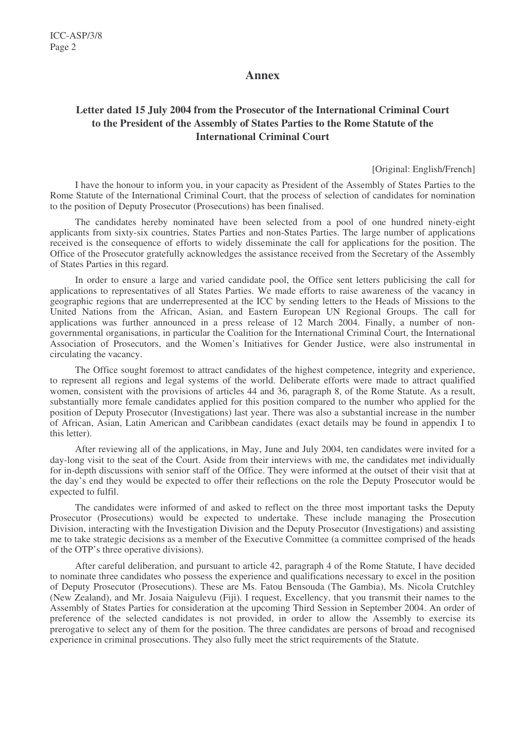## **Annex**

## **Letter dated 15 July 2004 from the Prosecutor of the International Criminal Court to the President of the Assembly of States Parties to the Rome Statute of the International Criminal Court**

[Original: English/French]

I have the honour to inform you, in your capacity as President of the Assembly of States Parties to the Rome Statute of the International Criminal Court, that the process of selection of candidates for nomination to the position of Deputy Prosecutor (Prosecutions) has been finalised.

The candidates hereby nominated have been selected from a pool of one hundred ninety-eight applicants from sixty-six countries, States Parties and non-States Parties. The large number of applications received is the consequence of efforts to widely disseminate the call for applications for the position. The Office of the Prosecutor gratefully acknowledges the assistance received from the Secretary of the Assembly of States Parties in this regard.

In order to ensure a large and varied candidate pool, the Office sent letters publicising the call for applications to representatives of all States Parties. We made efforts to raise awareness of the vacancy in geographic regions that are underrepresented at the ICC by sending letters to the Heads of Missions to the United Nations from the African, Asian, and Eastern European UN Regional Groups. The call for applications was further announced in a press release of 12 March 2004. Finally, a number of nongovernmental organisations, in particular the Coalition for the International Criminal Court, the International Association of Prosecutors, and the Women's Initiatives for Gender Justice, were also instrumental in circulating the vacancy.

The Office sought foremost to attract candidates of the highest competence, integrity and experience, to represent all regions and legal systems of the world. Deliberate efforts were made to attract qualified women, consistent with the provisions of articles 44 and 36, paragraph 8, of the Rome Statute. As a result, substantially more female candidates applied for this position compared to the number who applied for the position of Deputy Prosecutor (Investigations) last year. There was also a substantial increase in the number of African, Asian, Latin American and Caribbean candidates (exact details may be found in appendix I to this letter).

After reviewing all of the applications, in May, June and July 2004, ten candidates were invited for a day-long visit to the seat of the Court. Aside from their interviews with me, the candidates met individually for in-depth discussions with senior staff of the Office. They were informed at the outset of their visit that at the day's end they would be expected to offer their reflections on the role the Deputy Prosecutor would be expected to fulfil.

The candidates were informed of and asked to reflect on the three most important tasks the Deputy Prosecutor (Prosecutions) would be expected to undertake. These include managing the Prosecution Division, interacting with the Investigation Division and the Deputy Prosecutor (Investigations) and assisting me to take strategic decisions as a member of the Executive Committee (a committee comprised of the heads of the OTP's three operative divisions).

After careful deliberation, and pursuant to article 42, paragraph 4 of the Rome Statute, I have decided to nominate three candidates who possess the experience and qualifications necessary to excel in the position of Deputy Prosecutor (Prosecutions). These are Ms. Fatou Bensouda (The Gambia), Ms. Nicola Crutchley (New Zealand), and Mr. Josaia Naigulevu (Fiji). I request, Excellency, that you transmit their names to the Assembly of States Parties for consideration at the upcoming Third Session in September 2004. An order of preference of the selected candidates is not provided, in order to allow the Assembly to exercise its prerogative to select any of them for the position. The three candidates are persons of broad and recognised experience in criminal prosecutions. They also fully meet the strict requirements of the Statute.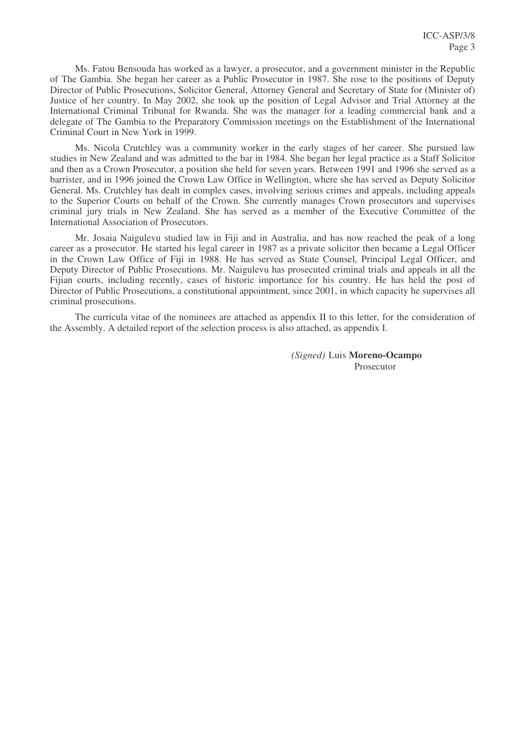Ms. Fatou Bensouda has worked as a lawyer, a prosecutor, and a government minister in the Republic of The Gambia. She began her career as a Public Prosecutor in 1987. She rose to the positions of Deputy Director of Public Prosecutions, Solicitor General, Attorney General and Secretary of State for (Minister of) Justice of her country. In May 2002, she took up the position of Legal Advisor and Trial Attorney at the International Criminal Tribunal for Rwanda. She was the manager for a leading commercial bank and a delegate of The Gambia to the Preparatory Commission meetings on the Establishment of the International Criminal Court in New York in 1999.

Ms. Nicola Crutchley was a community worker in the early stages of her career. She pursued law studies in New Zealand and was admitted to the bar in 1984. She began her legal practice as a Staff Solicitor and then as a Crown Prosecutor, a position she held for seven years. Between 1991 and 1996 she served as a barrister, and in 1996 joined the Crown Law Office in Wellington, where she has served as Deputy Solicitor General. Ms. Crutchley has dealt in complex cases, involving serious crimes and appeals, including appeals to the Superior Courts on behalf of the Crown. She currently manages Crown prosecutors and supervises criminal jury trials in New Zealand. She has served as a member of the Executive Committee of the International Association of Prosecutors.

Mr. Josaia Naigulevu studied law in Fiji and in Australia, and has now reached the peak of a long career as a prosecutor. He started his legal career in 1987 as a private solicitor then became a Legal Officer in the Crown Law Office of Fiji in 1988. He has served as State Counsel, Principal Legal Officer, and Deputy Director of Public Prosecutions. Mr. Naigulevu has prosecuted criminal trials and appeals in all the Fijian courts, including recently, cases of historic importance for his country. He has held the post of Director of Public Prosecutions, a constitutional appointment, since 2001, in which capacity he supervises all criminal prosecutions.

The curricula vitae of the nominees are attached as appendix II to this letter, for the consideration of the Assembly. A detailed report of the selection process is also attached, as appendix I.

> *(Signed)* Luis **Moreno-Ocampo** Prosecutor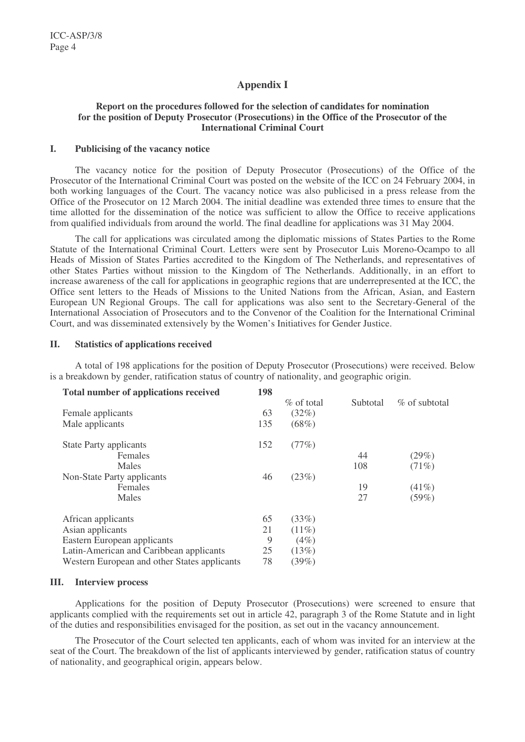## **Appendix I**

#### **Report on the procedures followed for the selection of candidates for nomination for the position of Deputy Prosecutor (Prosecutions) in the Office of the Prosecutor of the International Criminal Court**

#### **I. Publicising of the vacancy notice**

The vacancy notice for the position of Deputy Prosecutor (Prosecutions) of the Office of the Prosecutor of the International Criminal Court was posted on the website of the ICC on 24 February 2004, in both working languages of the Court. The vacancy notice was also publicised in a press release from the Office of the Prosecutor on 12 March 2004. The initial deadline was extended three times to ensure that the time allotted for the dissemination of the notice was sufficient to allow the Office to receive applications from qualified individuals from around the world. The final deadline for applications was 31 May 2004.

The call for applications was circulated among the diplomatic missions of States Parties to the Rome Statute of the International Criminal Court. Letters were sent by Prosecutor Luis Moreno-Ocampo to all Heads of Mission of States Parties accredited to the Kingdom of The Netherlands, and representatives of other States Parties without mission to the Kingdom of The Netherlands. Additionally, in an effort to increase awareness of the call for applications in geographic regions that are underrepresented at the ICC, the Office sent letters to the Heads of Missions to the United Nations from the African, Asian, and Eastern European UN Regional Groups. The call for applications was also sent to the Secretary-General of the International Association of Prosecutors and to the Convenor of the Coalition for the International Criminal Court, and was disseminated extensively by the Women's Initiatives for Gender Justice.

#### **II. Statistics of applications received**

A total of 198 applications for the position of Deputy Prosecutor (Prosecutions) were received. Below is a breakdown by gender, ratification status of country of nationality, and geographic origin.

| Total number of applications received        | 198 |               |          |                  |
|----------------------------------------------|-----|---------------|----------|------------------|
|                                              |     | $\%$ of total | Subtotal | $\%$ of subtotal |
| Female applicants                            | 63  | (32%)         |          |                  |
| Male applicants                              | 135 | $(68\%)$      |          |                  |
| <b>State Party applicants</b>                | 152 | (77%)         |          |                  |
| Females                                      |     |               | 44       | (29%)            |
| Males                                        |     |               | 108      | (71%)            |
| Non-State Party applicants                   | 46  | (23%)         |          |                  |
| Females                                      |     |               | 19       | (41%)            |
| Males                                        |     |               | 27       | (59%)            |
| African applicants                           | 65  | (33%)         |          |                  |
| Asian applicants                             | 21  | $(11\%)$      |          |                  |
| Eastern European applicants                  | 9   | (4%)          |          |                  |
| Latin-American and Caribbean applicants      |     | (13%)         |          |                  |
| Western European and other States applicants |     | (39%)         |          |                  |

#### **III. Interview process**

Applications for the position of Deputy Prosecutor (Prosecutions) were screened to ensure that applicants complied with the requirements set out in article 42, paragraph 3 of the Rome Statute and in light of the duties and responsibilities envisaged for the position, as set out in the vacancy announcement.

The Prosecutor of the Court selected ten applicants, each of whom was invited for an interview at the seat of the Court. The breakdown of the list of applicants interviewed by gender, ratification status of country of nationality, and geographical origin, appears below.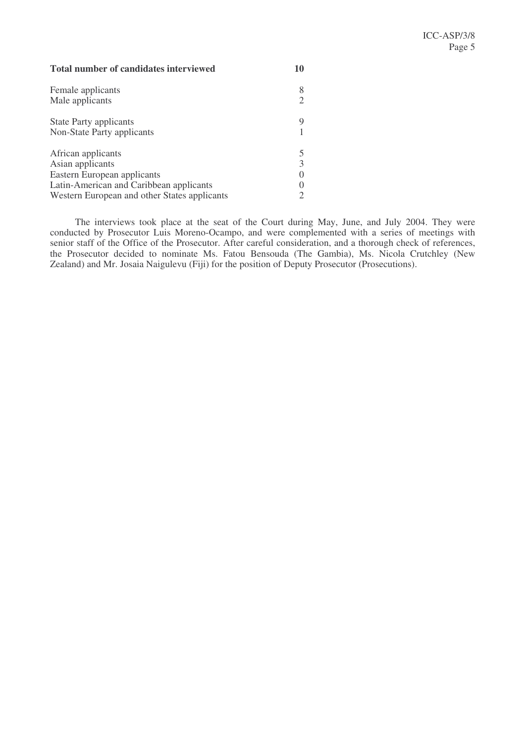| <b>Total number of candidates interviewed</b> | 10 |
|-----------------------------------------------|----|
| Female applicants                             |    |
| Male applicants                               |    |
| <b>State Party applicants</b>                 | Q  |
| Non-State Party applicants                    |    |
| African applicants                            |    |
| Asian applicants                              |    |
| Eastern European applicants                   |    |
| Latin-American and Caribbean applicants       |    |
| Western European and other States applicants  |    |

The interviews took place at the seat of the Court during May, June, and July 2004. They were conducted by Prosecutor Luis Moreno-Ocampo, and were complemented with a series of meetings with senior staff of the Office of the Prosecutor. After careful consideration, and a thorough check of references, the Prosecutor decided to nominate Ms. Fatou Bensouda (The Gambia), Ms. Nicola Crutchley (New Zealand) and Mr. Josaia Naigulevu (Fiji) for the position of Deputy Prosecutor (Prosecutions).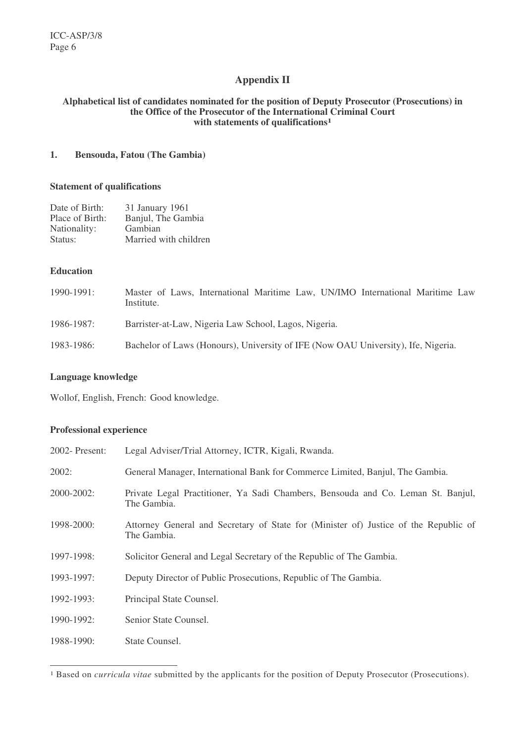## **Appendix II**

#### **Alphabetical list of candidates nominated for the position of Deputy Prosecutor (Prosecutions) in the Office of the Prosecutor of the International Criminal Court with statements of qualifications 1**

## **1. Bensouda, Fatou (The Gambia)**

#### **Statement of qualifications**

| Date of Birth:  | 31 January 1961       |
|-----------------|-----------------------|
| Place of Birth: | Banjul, The Gambia    |
| Nationality:    | Gambian               |
| Status:         | Married with children |

## **Education**

| $1990 - 1991$ : | Master of Laws, International Maritime Law, UN/IMO International Maritime Law<br>Institute. |
|-----------------|---------------------------------------------------------------------------------------------|
| 1986-1987:      | Barrister-at-Law, Nigeria Law School, Lagos, Nigeria.                                       |
| 1983-1986:      | Bachelor of Laws (Honours), University of IFE (Now OAU University), Ife, Nigeria.           |

#### **Language knowledge**

Wollof, English, French: Good knowledge.

## **Professional experience**

| 2002- Present: | Legal Adviser/Trial Attorney, ICTR, Kigali, Rwanda.                                                 |
|----------------|-----------------------------------------------------------------------------------------------------|
| 2002:          | General Manager, International Bank for Commerce Limited, Banjul, The Gambia.                       |
| 2000-2002:     | Private Legal Practitioner, Ya Sadi Chambers, Bensouda and Co. Leman St. Banjul,<br>The Gambia.     |
| 1998-2000:     | Attorney General and Secretary of State for (Minister of) Justice of the Republic of<br>The Gambia. |
| 1997-1998:     | Solicitor General and Legal Secretary of the Republic of The Gambia.                                |
| 1993-1997:     | Deputy Director of Public Prosecutions, Republic of The Gambia.                                     |
| 1992-1993:     | Principal State Counsel.                                                                            |
| 1990-1992:     | Senior State Counsel.                                                                               |
| 1988-1990:     | State Counsel.                                                                                      |

<sup>&</sup>lt;sup>1</sup> Based on *curricula vitae* submitted by the applicants for the position of Deputy Prosecutor (Prosecutions).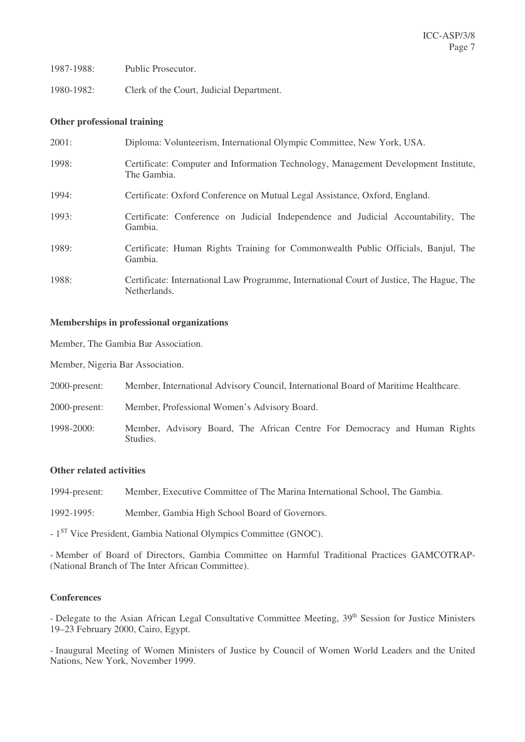| 1987-1988: | Public Prosecutor.                       |
|------------|------------------------------------------|
| 1980-1982: | Clerk of the Court, Judicial Department. |

#### **Other professional training**

| 2001: | Diploma: Volunteerism, International Olympic Committee, New York, USA.                                   |
|-------|----------------------------------------------------------------------------------------------------------|
| 1998: | Certificate: Computer and Information Technology, Management Development Institute,<br>The Gambia.       |
| 1994: | Certificate: Oxford Conference on Mutual Legal Assistance, Oxford, England.                              |
| 1993: | Certificate: Conference on Judicial Independence and Judicial Accountability, The<br>Gambia.             |
| 1989: | Certificate: Human Rights Training for Commonwealth Public Officials, Banjul, The<br>Gambia.             |
| 1988: | Certificate: International Law Programme, International Court of Justice, The Hague, The<br>Netherlands. |

#### **Memberships in professional organizations**

Member, The Gambia Bar Association.

Member, Nigeria Bar Association.

- 2000-present: Member, International Advisory Council, International Board of Maritime Healthcare.
- 2000-present: Member, Professional Women's Advisory Board.
- 1998-2000: Member, Advisory Board, The African Centre For Democracy and Human Rights Studies.

#### **Other related activities**

1994-present: Member, Executive Committee of The Marina International School, The Gambia.

1992-1995: Member, Gambia High School Board of Governors.

- 1<sup>ST</sup> Vice President, Gambia National Olympics Committee (GNOC).

- Member of Board of Directors, Gambia Committee on Harmful Traditional Practices GAMCOTRAP- (National Branch of The Inter African Committee).

## **Conferences**

- Delegate to the Asian African Legal Consultative Committee Meeting, 39<sup>th</sup> Session for Justice Ministers 19–23 February 2000, Cairo, Egypt.

- Inaugural Meeting of Women Ministers of Justice by Council of Women World Leaders and the United Nations, New York, November 1999.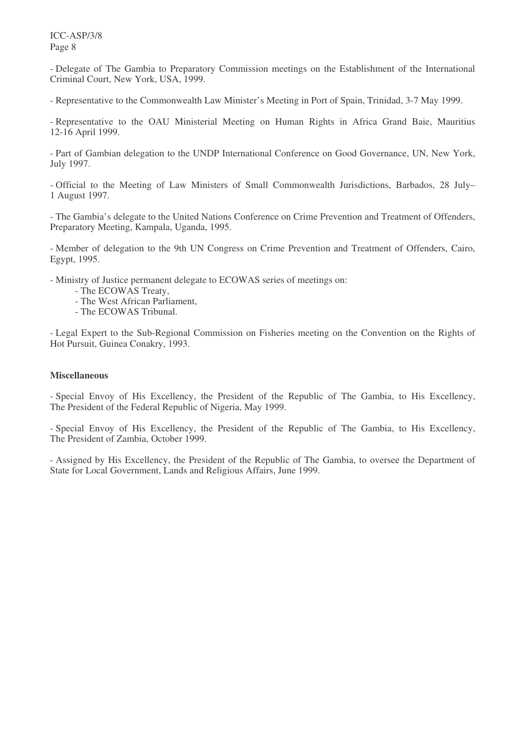- Delegate of The Gambia to Preparatory Commission meetings on the Establishment of the International Criminal Court, New York, USA, 1999.

- Representative to the Commonwealth Law Minister's Meeting in Port of Spain, Trinidad, 3-7 May 1999.

- Representative to the OAU Ministerial Meeting on Human Rights in Africa Grand Baie, Mauritius 12-16 April 1999.

- Part of Gambian delegation to the UNDP International Conference on Good Governance, UN, New York, July 1997.

- Official to the Meeting of Law Ministers of Small Commonwealth Jurisdictions, Barbados, 28 July– 1 August 1997.

- The Gambia's delegate to the United Nations Conference on Crime Prevention and Treatment of Offenders, Preparatory Meeting, Kampala, Uganda, 1995.

- Member of delegation to the 9th UN Congress on Crime Prevention and Treatment of Offenders, Cairo, Egypt, 1995.

- Ministry of Justice permanent delegate to ECOWAS series of meetings on:

- The ECOWAS Treaty,
- The West African Parliament,
- The ECOWAS Tribunal.

- Legal Expert to the Sub-Regional Commission on Fisheries meeting on the Convention on the Rights of Hot Pursuit, Guinea Conakry, 1993.

#### **Miscellaneous**

- Special Envoy of His Excellency, the President of the Republic of The Gambia, to His Excellency, The President of the Federal Republic of Nigeria, May 1999.

- Special Envoy of His Excellency, the President of the Republic of The Gambia, to His Excellency, The President of Zambia, October 1999.

- Assigned by His Excellency, the President of the Republic of The Gambia, to oversee the Department of State for Local Government, Lands and Religious Affairs, June 1999.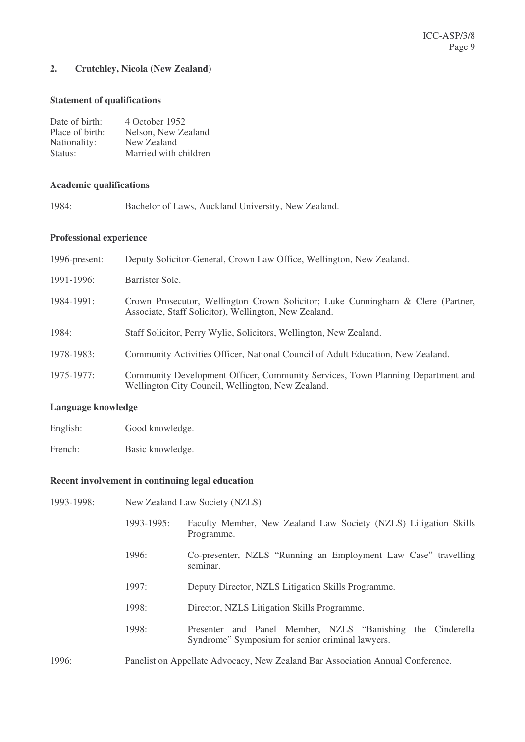## **2. Crutchley, Nicola (New Zealand)**

## **Statement of qualifications**

| Date of birth:  | 4 October 1952        |
|-----------------|-----------------------|
| Place of birth: | Nelson, New Zealand   |
| Nationality:    | New Zealand           |
| Status:         | Married with children |

## **Academic qualifications**

1984: Bachelor of Laws, Auckland University, New Zealand.

## **Professional experience**

| 1996-present: | Deputy Solicitor-General, Crown Law Office, Wellington, New Zealand.                                                                     |
|---------------|------------------------------------------------------------------------------------------------------------------------------------------|
| 1991-1996:    | Barrister Sole.                                                                                                                          |
| 1984-1991:    | Crown Prosecutor, Wellington Crown Solicitor; Luke Cunningham & Clere (Partner,<br>Associate, Staff Solicitor), Wellington, New Zealand. |
| 1984:         | Staff Solicitor, Perry Wylie, Solicitors, Wellington, New Zealand.                                                                       |
| 1978-1983:    | Community Activities Officer, National Council of Adult Education, New Zealand.                                                          |
| 1975-1977:    | Community Development Officer, Community Services, Town Planning Department and<br>Wellington City Council, Wellington, New Zealand.     |

## **Language knowledge**

| English: | Good knowledge. |
|----------|-----------------|
|          |                 |

French: Basic knowledge.

## **Recent involvement in continuing legal education**

| 1993-1998: |            | New Zealand Law Society (NZLS)                                                                                 |
|------------|------------|----------------------------------------------------------------------------------------------------------------|
|            | 1993-1995: | Faculty Member, New Zealand Law Society (NZLS) Litigation Skills<br>Programme.                                 |
|            | 1996:      | Co-presenter, NZLS "Running an Employment Law Case" travelling<br>seminar.                                     |
|            | 1997:      | Deputy Director, NZLS Litigation Skills Programme.                                                             |
|            | 1998:      | Director, NZLS Litigation Skills Programme.                                                                    |
|            | 1998:      | Presenter and Panel Member, NZLS "Banishing the Cinderella<br>Syndrome" Symposium for senior criminal lawyers. |
| 1996:      |            | Panelist on Appellate Advocacy, New Zealand Bar Association Annual Conference.                                 |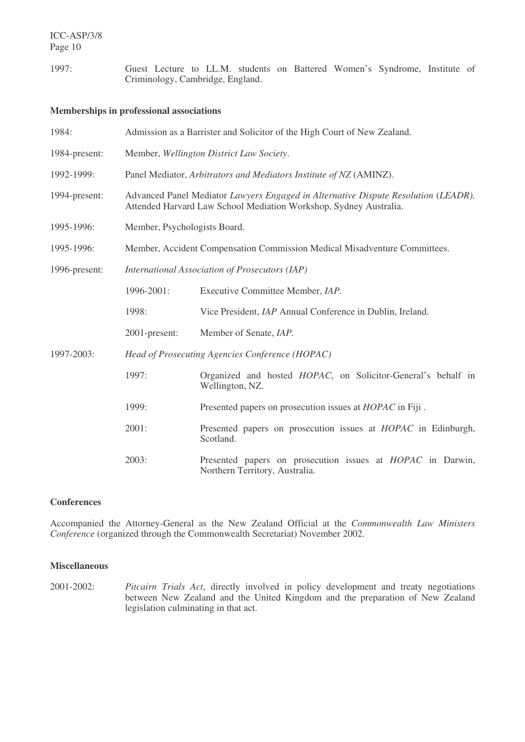ICC-ASP/3/8 Page 10

1997: Guest Lecture to LL.M. students on Battered Women's Syndrome, Institute of Criminology, Cambridge, England.

## **Memberships in professional associations**

| 1984:         | Admission as a Barrister and Solicitor of the High Court of New Zealand.                                                                                |                                                                                                     |  |
|---------------|---------------------------------------------------------------------------------------------------------------------------------------------------------|-----------------------------------------------------------------------------------------------------|--|
| 1984-present: | Member, Wellington District Law Society.                                                                                                                |                                                                                                     |  |
| 1992-1999:    | Panel Mediator, Arbitrators and Mediators Institute of NZ (AMINZ).                                                                                      |                                                                                                     |  |
| 1994-present: | Advanced Panel Mediator Lawyers Engaged in Alternative Dispute Resolution (LEADR).<br>Attended Harvard Law School Mediation Workshop, Sydney Australia. |                                                                                                     |  |
| 1995-1996:    | Member, Psychologists Board.                                                                                                                            |                                                                                                     |  |
| 1995-1996:    | Member, Accident Compensation Commission Medical Misadventure Committees.                                                                               |                                                                                                     |  |
| 1996-present: | International Association of Prosecutors (IAP)                                                                                                          |                                                                                                     |  |
|               | 1996-2001:                                                                                                                                              | Executive Committee Member, IAP.                                                                    |  |
|               | 1998:                                                                                                                                                   | Vice President, IAP Annual Conference in Dublin, Ireland.                                           |  |
|               | 2001-present:                                                                                                                                           | Member of Senate, IAP.                                                                              |  |
| 1997-2003:    |                                                                                                                                                         | Head of Prosecuting Agencies Conference (HOPAC)                                                     |  |
|               | 1997:                                                                                                                                                   | Organized and hosted <i>HOPAC</i> , on Solicitor-General's behalf in<br>Wellington, NZ.             |  |
|               | 1999:                                                                                                                                                   | Presented papers on prosecution issues at <i>HOPAC</i> in Fiji.                                     |  |
|               | 2001:                                                                                                                                                   | Presented papers on prosecution issues at <i>HOPAC</i> in Edinburgh,<br>Scotland.                   |  |
|               | 2003:                                                                                                                                                   | Presented papers on prosecution issues at <i>HOPAC</i> in Darwin,<br>Northern Territory, Australia. |  |

#### **Conferences**

Accompanied the Attorney-General as the New Zealand Official at the *Commonwealth Law Ministers Conference* (organized through the Commonwealth Secretariat) November 2002.

## **Miscellaneous**

2001-2002: *Pitcairn Trials Act*, directly involved in policy development and treaty negotiations between New Zealand and the United Kingdom and the preparation of New Zealand legislation culminating in that act.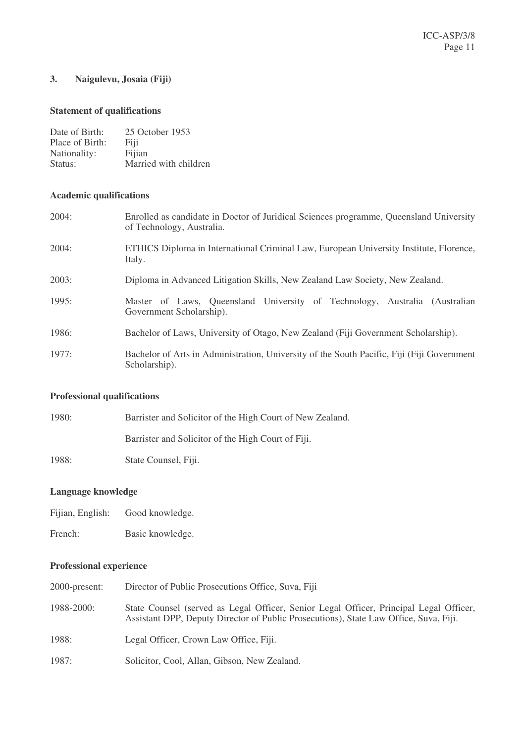## **3. Naigulevu, Josaia (Fiji)**

## **Statement of qualifications**

| Date of Birth:  | 25 October 1953       |
|-----------------|-----------------------|
| Place of Birth: | Fiji                  |
| Nationality:    | Fijian                |
| Status:         | Married with children |
|                 |                       |

## **Academic qualifications**

| 2004: | Enrolled as candidate in Doctor of Juridical Sciences programme, Queensland University<br>of Technology, Australia. |
|-------|---------------------------------------------------------------------------------------------------------------------|
| 2004: | ETHICS Diploma in International Criminal Law, European University Institute, Florence,<br>Italy.                    |
| 2003: | Diploma in Advanced Litigation Skills, New Zealand Law Society, New Zealand.                                        |
| 1995: | Master of Laws, Queensland University of Technology, Australia (Australian<br>Government Scholarship).              |
| 1986: | Bachelor of Laws, University of Otago, New Zealand (Fiji Government Scholarship).                                   |
| 1977: | Bachelor of Arts in Administration, University of the South Pacific, Fiji (Fiji Government)<br>Scholarship).        |

## **Professional qualifications**

| 1980: | Barrister and Solicitor of the High Court of New Zealand. |
|-------|-----------------------------------------------------------|
|       | Barrister and Solicitor of the High Court of Fiji.        |
| 1988: | State Counsel, Fiji.                                      |

## **Language knowledge**

| Fijian, English: | Good knowledge. |
|------------------|-----------------|
|                  |                 |

French: Basic knowledge.

## **Professional experience**

| $2000$ -present: | Director of Public Prosecutions Office, Suva, Fiji                                                                                                                              |
|------------------|---------------------------------------------------------------------------------------------------------------------------------------------------------------------------------|
| 1988-2000:       | State Counsel (served as Legal Officer, Senior Legal Officer, Principal Legal Officer,<br>Assistant DPP, Deputy Director of Public Prosecutions), State Law Office, Suva, Fiji. |
| 1988:            | Legal Officer, Crown Law Office, Fiji.                                                                                                                                          |
| 1987:            | Solicitor, Cool, Allan, Gibson, New Zealand.                                                                                                                                    |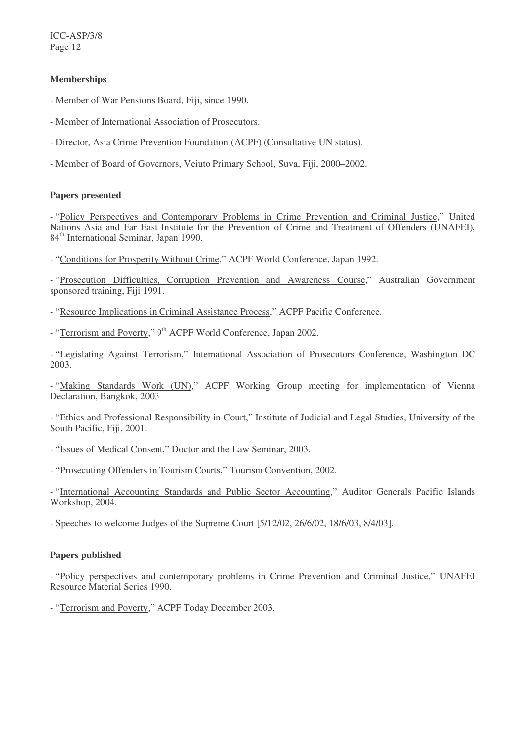## **Memberships**

- Member of War Pensions Board, Fiji, since 1990.
- Member of International Association of Prosecutors.
- Director, Asia Crime Prevention Foundation (ACPF) (Consultative UN status).
- Member of Board of Governors, Veiuto Primary School, Suva, Fiji, 2000–2002.

## **Papers presented**

- "Policy Perspectives and Contemporary Problems in Crime Prevention and Criminal Justice," United Nations Asia and Far East Institute for the Prevention of Crime and Treatment of Offenders (UNAFEI), 84<sup>th</sup> International Seminar, Japan 1990.

- "Conditions for Prosperity Without Crime," ACPF World Conference, Japan 1992.

- "Prosecution Difficulties, Corruption Prevention and Awareness Course," Australian Government sponsored training, Fiji 1991.

- "Resource Implications in Criminal Assistance Process," ACPF Pacific Conference.

- "Terrorism and Poverty," 9<sup>th</sup> ACPF World Conference, Japan 2002.

- "Legislating Against Terrorism," International Association of Prosecutors Conference, Washington DC 2003.

- "Making Standards Work (UN)," ACPF Working Group meeting for implementation of Vienna Declaration, Bangkok, 2003

- "Ethics and Professional Responsibility in Court," Institute of Judicial and Legal Studies, University of the South Pacific, Fiji, 2001.

- "Issues of Medical Consent," Doctor and the Law Seminar, 2003.

- "Prosecuting Offenders in Tourism Courts," Tourism Convention, 2002.

- "International Accounting Standards and Public Sector Accounting," Auditor Generals Pacific Islands Workshop, 2004.

- Speeches to welcome Judges of the Supreme Court [5/12/02, 26/6/02, 18/6/03, 8/4/03].

## **Papers published**

- "Policy perspectives and contemporary problems in Crime Prevention and Criminal Justice," UNAFEI Resource Material Series 1990.

- "Terrorism and Poverty," ACPF Today December 2003.